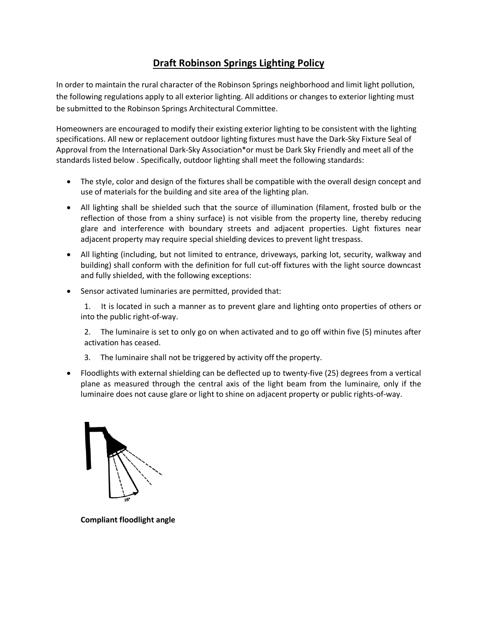## **Draft Robinson Springs Lighting Policy**

In order to maintain the rural character of the Robinson Springs neighborhood and limit light pollution, the following regulations apply to all exterior lighting. All additions or changes to exterior lighting must be submitted to the Robinson Springs Architectural Committee.

Homeowners are encouraged to modify their existing exterior lighting to be consistent with the lighting specifications. All new or replacement outdoor lighting fixtures must have the Dark-Sky Fixture Seal of Approval from the International Dark-Sky Association\*or must be Dark Sky Friendly and meet all of the standards listed below . Specifically, outdoor lighting shall meet the following standards:

- The style, color and design of the fixtures shall be compatible with the overall design concept and use of materials for the building and site area of the lighting plan.
- All lighting shall be shielded such that the source of illumination (filament, frosted bulb or the reflection of those from a shiny surface) is not visible from the property line, thereby reducing glare and interference with boundary streets and adjacent properties. Light fixtures near adjacent property may require special shielding devices to prevent light trespass.
- All lighting (including, but not limited to entrance, driveways, parking lot, security, walkway and building) shall conform with the definition for full cut-off fixtures with the light source downcast and fully shielded, with the following exceptions:
- Sensor activated luminaries are permitted, provided that:

1. It is located in such a manner as to prevent glare and lighting onto properties of others or into the public right-of-way.

2. The luminaire is set to only go on when activated and to go off within five (5) minutes after activation has ceased.

- 3. The luminaire shall not be triggered by activity off the property.
- Floodlights with external shielding can be deflected up to twenty-five (25) degrees from a vertical plane as measured through the central axis of the light beam from the luminaire, only if the luminaire does not cause glare or light to shine on adjacent property or public rights-of-way.



**Compliant floodlight angle**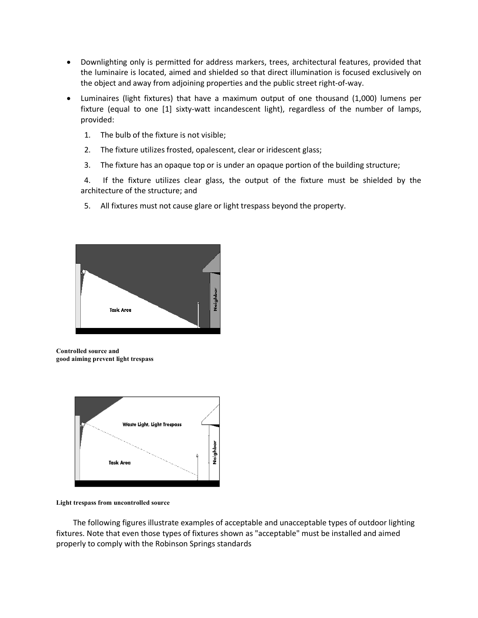- Downlighting only is permitted for address markers, trees, architectural features, provided that the luminaire is located, aimed and shielded so that direct illumination is focused exclusively on the object and away from adjoining properties and the public street right-of-way.
- Luminaires (light fixtures) that have a maximum output of one thousand (1,000) lumens per fixture (equal to one [1] sixty-watt incandescent light), regardless of the number of lamps, provided:
	- 1. The bulb of the fixture is not visible;
	- 2. The fixture utilizes frosted, opalescent, clear or iridescent glass;
	- 3. The fixture has an opaque top or is under an opaque portion of the building structure;

4. If the fixture utilizes clear glass, the output of the fixture must be shielded by the architecture of the structure; and

5. All fixtures must not cause glare or light trespass beyond the property.



**Controlled source and good aiming prevent light trespass**



**Light trespass from uncontrolled source**

The following figures illustrate examples of acceptable and unacceptable types of outdoor lighting fixtures. Note that even those types of fixtures shown as "acceptable" must be installed and aimed properly to comply with the Robinson Springs standards